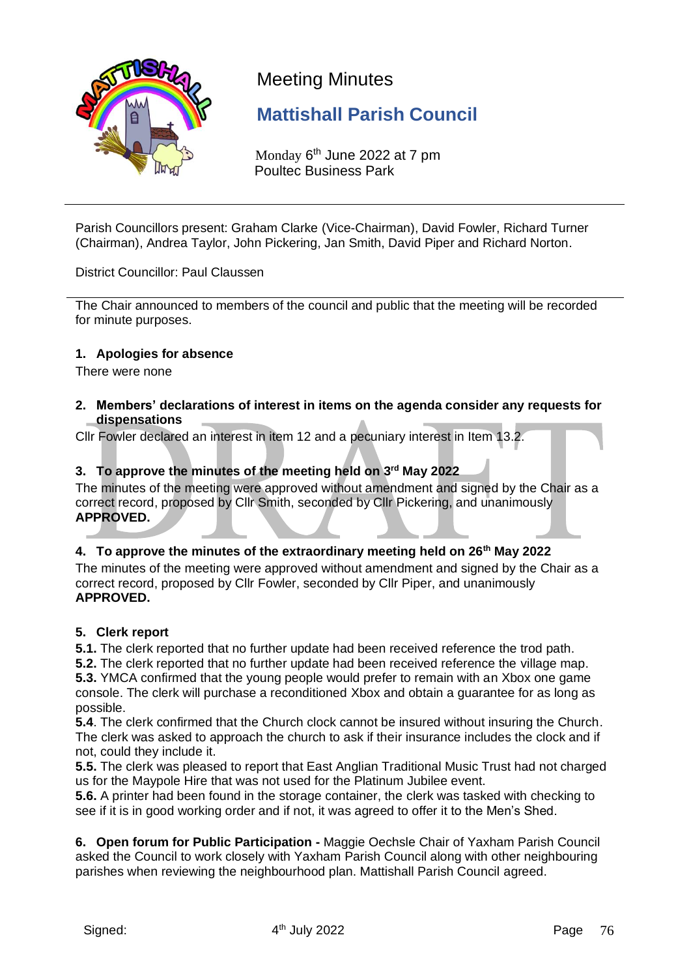

## Meeting Minutes

## **Mattishall Parish Council**

Monday 6<sup>th</sup> June 2022 at 7 pm Poultec Business Park

Parish Councillors present: Graham Clarke (Vice-Chairman), David Fowler, Richard Turner (Chairman), Andrea Taylor, John Pickering, Jan Smith, David Piper and Richard Norton.

District Councillor: Paul Claussen

The Chair announced to members of the council and public that the meeting will be recorded for minute purposes.

#### **1. Apologies for absence**

There were none

**2. Members' declarations of interest in items on the agenda consider any requests for dispensations**

Cllr Fowler declared an interest in item 12 and a pecuniary interest in Item 13.2.

#### **3. To approve the minutes of the meeting held on 3 rd May 2022**

The minutes of the meeting were approved without amendment and signed by the Chair as a correct record, proposed by Cllr Smith, seconded by Cllr Pickering, and unanimously **APPROVED.**

#### **4. To approve the minutes of the extraordinary meeting held on 26th May 2022**

The minutes of the meeting were approved without amendment and signed by the Chair as a correct record, proposed by Cllr Fowler, seconded by Cllr Piper, and unanimously **APPROVED.**

#### **5. Clerk report**

**5.1.** The clerk reported that no further update had been received reference the trod path.

**5.2.** The clerk reported that no further update had been received reference the village map.

**5.3.** YMCA confirmed that the young people would prefer to remain with an Xbox one game console. The clerk will purchase a reconditioned Xbox and obtain a guarantee for as long as possible.

**5.4**. The clerk confirmed that the Church clock cannot be insured without insuring the Church. The clerk was asked to approach the church to ask if their insurance includes the clock and if not, could they include it.

**5.5.** The clerk was pleased to report that East Anglian Traditional Music Trust had not charged us for the Maypole Hire that was not used for the Platinum Jubilee event.

**5.6.** A printer had been found in the storage container, the clerk was tasked with checking to see if it is in good working order and if not, it was agreed to offer it to the Men's Shed.

**6. Open forum for Public Participation -** Maggie Oechsle Chair of Yaxham Parish Council asked the Council to work closely with Yaxham Parish Council along with other neighbouring parishes when reviewing the neighbourhood plan. Mattishall Parish Council agreed.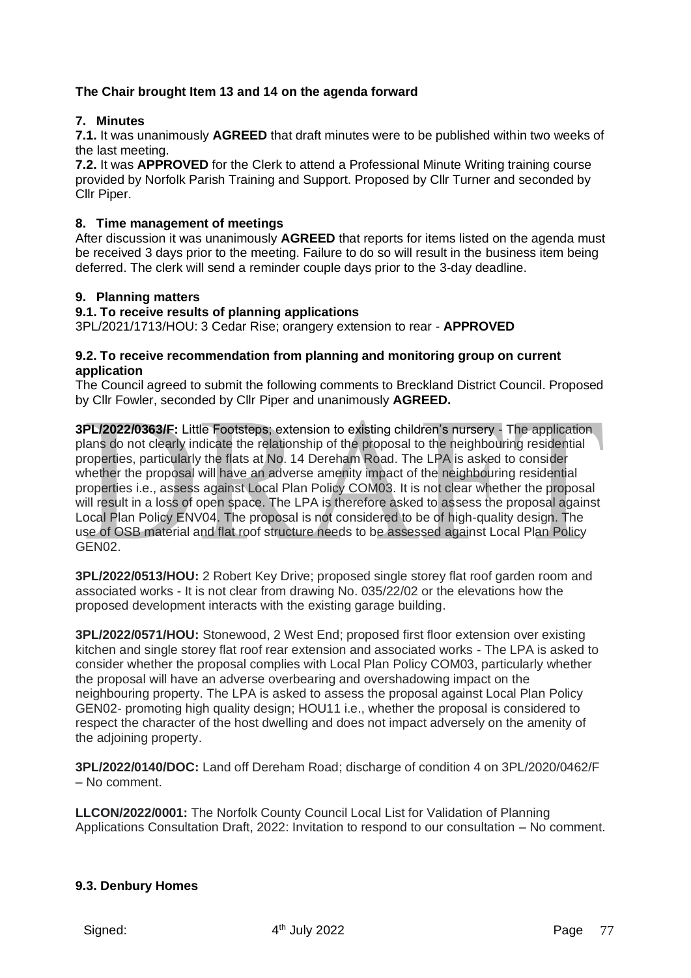#### **The Chair brought Item 13 and 14 on the agenda forward**

#### **7. Minutes**

**7.1.** It was unanimously **AGREED** that draft minutes were to be published within two weeks of the last meeting.

**7.2.** It was **APPROVED** for the Clerk to attend a Professional Minute Writing training course provided by Norfolk Parish Training and Support. Proposed by Cllr Turner and seconded by Cllr Piper.

#### **8. Time management of meetings**

After discussion it was unanimously **AGREED** that reports for items listed on the agenda must be received 3 days prior to the meeting. Failure to do so will result in the business item being deferred. The clerk will send a reminder couple days prior to the 3-day deadline.

#### **9. Planning matters**

#### **9.1. To receive results of planning applications**

3PL/2021/1713/HOU: 3 Cedar Rise; orangery extension to rear - **APPROVED**

#### **9.2. To receive recommendation from planning and monitoring group on current application**

The Council agreed to submit the following comments to Breckland District Council. Proposed by Cllr Fowler, seconded by Cllr Piper and unanimously **AGREED.**

**3PL/2022/0363/F:** Little Footsteps; extension to existing children's nursery - The application plans do not clearly indicate the relationship of the proposal to the neighbouring residential properties, particularly the flats at No. 14 Dereham Road. The LPA is asked to consider whether the proposal will have an adverse amenity impact of the neighbouring residential properties i.e., assess against Local Plan Policy COM03. It is not clear whether the proposal will result in a loss of open space. The LPA is therefore asked to assess the proposal against Local Plan Policy ENV04. The proposal is not considered to be of high-quality design. The use of OSB material and flat roof structure needs to be assessed against Local Plan Policy GEN02.

**3PL/2022/0513/HOU:** 2 Robert Key Drive; proposed single storey flat roof garden room and associated works - It is not clear from drawing No. 035/22/02 or the elevations how the proposed development interacts with the existing garage building.

**3PL/2022/0571/HOU:** Stonewood, 2 West End; proposed first floor extension over existing kitchen and single storey flat roof rear extension and associated works - The LPA is asked to consider whether the proposal complies with Local Plan Policy COM03, particularly whether the proposal will have an adverse overbearing and overshadowing impact on the neighbouring property. The LPA is asked to assess the proposal against Local Plan Policy GEN02- promoting high quality design; HOU11 i.e., whether the proposal is considered to respect the character of the host dwelling and does not impact adversely on the amenity of the adjoining property.

**3PL/2022/0140/DOC:** Land off Dereham Road; discharge of condition 4 on 3PL/2020/0462/F – No comment.

**LLCON/2022/0001:** The Norfolk County Council Local List for Validation of Planning Applications Consultation Draft, 2022: Invitation to respond to our consultation – No comment.

#### **9.3. Denbury Homes**

Signed: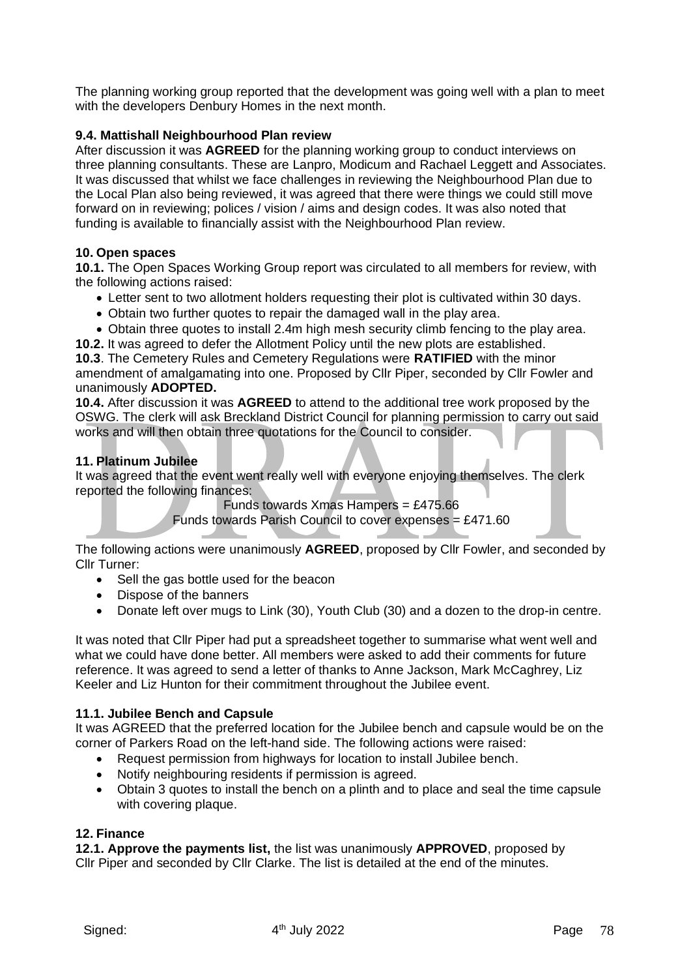The planning working group reported that the development was going well with a plan to meet with the developers Denbury Homes in the next month.

#### **9.4. Mattishall Neighbourhood Plan review**

After discussion it was **AGREED** for the planning working group to conduct interviews on three planning consultants. These are Lanpro, Modicum and Rachael Leggett and Associates. It was discussed that whilst we face challenges in reviewing the Neighbourhood Plan due to the Local Plan also being reviewed, it was agreed that there were things we could still move forward on in reviewing; polices / vision / aims and design codes. It was also noted that funding is available to financially assist with the Neighbourhood Plan review.

#### **10. Open spaces**

**10.1.** The Open Spaces Working Group report was circulated to all members for review, with the following actions raised:

- Letter sent to two allotment holders requesting their plot is cultivated within 30 days.
- Obtain two further quotes to repair the damaged wall in the play area.
- Obtain three quotes to install 2.4m high mesh security climb fencing to the play area.
- **10.2.** It was agreed to defer the Allotment Policy until the new plots are established.

**10.3**. The Cemetery Rules and Cemetery Regulations were **RATIFIED** with the minor amendment of amalgamating into one. Proposed by Cllr Piper, seconded by Cllr Fowler and unanimously **ADOPTED.**

**10.4.** After discussion it was **AGREED** to attend to the additional tree work proposed by the OSWG. The clerk will ask Breckland District Council for planning permission to carry out said works and will then obtain three quotations for the Council to consider.

#### **11. Platinum Jubilee**

It was agreed that the event went really well with everyone enjoying themselves. The clerk reported the following finances:

Funds towards Xmas Hampers = £475.66

Funds towards Parish Council to cover expenses =  $£471.60$ 

The following actions were unanimously **AGREED**, proposed by Cllr Fowler, and seconded by Cllr Turner:

- Sell the gas bottle used for the beacon
- Dispose of the banners
- Donate left over mugs to Link (30), Youth Club (30) and a dozen to the drop-in centre.

It was noted that Cllr Piper had put a spreadsheet together to summarise what went well and what we could have done better. All members were asked to add their comments for future reference. It was agreed to send a letter of thanks to Anne Jackson, Mark McCaghrey, Liz Keeler and Liz Hunton for their commitment throughout the Jubilee event.

#### **11.1. Jubilee Bench and Capsule**

It was AGREED that the preferred location for the Jubilee bench and capsule would be on the corner of Parkers Road on the left-hand side. The following actions were raised:

- Request permission from highways for location to install Jubilee bench.
- Notify neighbouring residents if permission is agreed.
- Obtain 3 quotes to install the bench on a plinth and to place and seal the time capsule with covering plaque.

#### **12. Finance**

**12.1. Approve the payments list,** the list was unanimously **APPROVED**, proposed by Cllr Piper and seconded by Cllr Clarke. The list is detailed at the end of the minutes.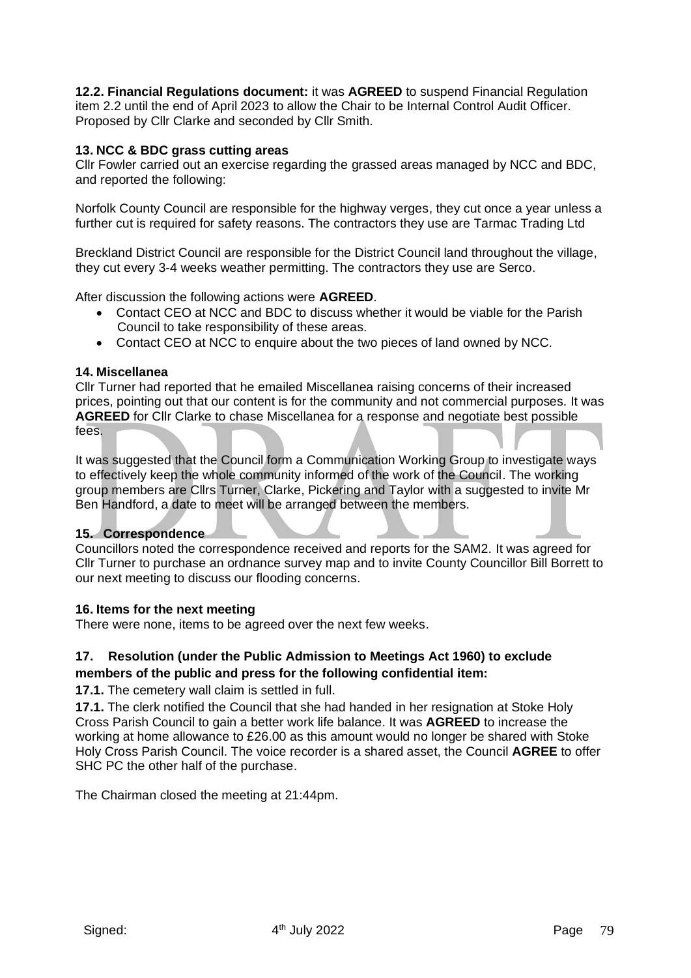**12.2. Financial Regulations document:** it was **AGREED** to suspend Financial Regulation item 2.2 until the end of April 2023 to allow the Chair to be Internal Control Audit Officer. Proposed by Cllr Clarke and seconded by Cllr Smith.

#### **13. NCC & BDC grass cutting areas**

Cllr Fowler carried out an exercise regarding the grassed areas managed by NCC and BDC, and reported the following:

Norfolk County Council are responsible for the highway verges, they cut once a year unless a further cut is required for safety reasons. The contractors they use are Tarmac Trading Ltd

Breckland District Council are responsible for the District Council land throughout the village, they cut every 3-4 weeks weather permitting. The contractors they use are Serco.

After discussion the following actions were **AGREED**.

- Contact CEO at NCC and BDC to discuss whether it would be viable for the Parish Council to take responsibility of these areas.
- Contact CEO at NCC to enquire about the two pieces of land owned by NCC.

#### **14. Miscellanea**

Cllr Turner had reported that he emailed Miscellanea raising concerns of their increased prices, pointing out that our content is for the community and not commercial purposes. It was **AGREED** for Cllr Clarke to chase Miscellanea for a response and negotiate best possible fees.

It was suggested that the Council form a Communication Working Group to investigate ways to effectively keep the whole community informed of the work of the Council. The working group members are Cllrs Turner, Clarke, Pickering and Taylor with a suggested to invite Mr Ben Handford, a date to meet will be arranged between the members.

#### **15. Correspondence**

Councillors noted the correspondence received and reports for the SAM2. It was agreed for Cllr Turner to purchase an ordnance survey map and to invite County Councillor Bill Borrett to our next meeting to discuss our flooding concerns.

#### **16. Items for the next meeting**

There were none, items to be agreed over the next few weeks.

#### **17. Resolution (under the Public Admission to Meetings Act 1960) to exclude members of the public and press for the following confidential item:**

**17.1.** The cemetery wall claim is settled in full.

**17.1.** The clerk notified the Council that she had handed in her resignation at Stoke Holy Cross Parish Council to gain a better work life balance. It was **AGREED** to increase the working at home allowance to £26.00 as this amount would no longer be shared with Stoke Holy Cross Parish Council. The voice recorder is a shared asset, the Council **AGREE** to offer SHC PC the other half of the purchase.

The Chairman closed the meeting at 21:44pm.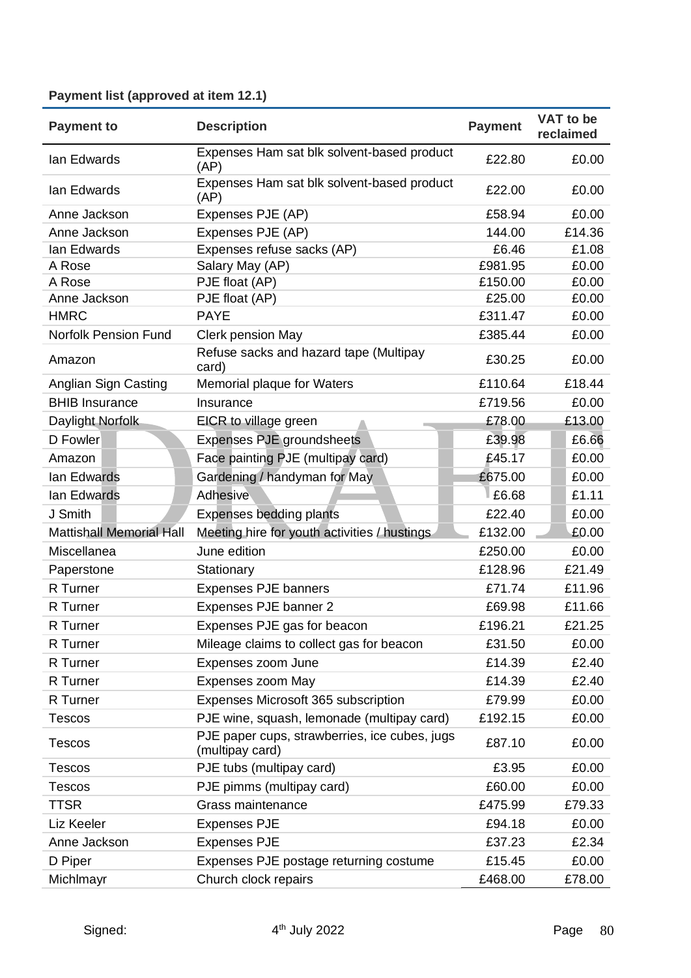### **Payment list (approved at item 12.1)**

| <b>Payment to</b>               | <b>Description</b>                                               | <b>Payment</b> | VAT to be<br>reclaimed |
|---------------------------------|------------------------------------------------------------------|----------------|------------------------|
| lan Edwards                     | Expenses Ham sat blk solvent-based product<br>(AP)               | £22.80         | £0.00                  |
| lan Edwards                     | Expenses Ham sat blk solvent-based product<br>(AP)               | £22.00         | £0.00                  |
| Anne Jackson                    | Expenses PJE (AP)                                                | £58.94         | £0.00                  |
| Anne Jackson                    | Expenses PJE (AP)                                                | 144.00         | £14.36                 |
| lan Edwards                     | Expenses refuse sacks (AP)                                       | £6.46          | £1.08                  |
| A Rose                          | Salary May (AP)                                                  | £981.95        | £0.00                  |
| A Rose                          | PJE float (AP)                                                   | £150.00        | £0.00                  |
| Anne Jackson                    | PJE float (AP)                                                   | £25.00         | £0.00                  |
| <b>HMRC</b>                     | <b>PAYE</b>                                                      | £311.47        | £0.00                  |
| <b>Norfolk Pension Fund</b>     | Clerk pension May                                                | £385.44        | £0.00                  |
| Amazon                          | Refuse sacks and hazard tape (Multipay<br>card)                  | £30.25         | £0.00                  |
| Anglian Sign Casting            | Memorial plaque for Waters                                       | £110.64        | £18.44                 |
| <b>BHIB Insurance</b>           | Insurance                                                        | £719.56        | £0.00                  |
| Daylight Norfolk                | EICR to village green                                            | £78.00         | £13.00                 |
| D Fowler                        | Expenses PJE groundsheets                                        | £39.98         | £6.66                  |
| Amazon                          | Face painting PJE (multipay card)                                | £45.17         | £0.00                  |
| lan Edwards                     | Gardening / handyman for May                                     | £675.00        | £0.00                  |
| lan Edwards                     | Adhesive                                                         | £6.68          | £1.11                  |
| J Smith                         | <b>Expenses bedding plants</b>                                   | £22.40         | £0.00                  |
| <b>Mattishall Memorial Hall</b> | Meeting hire for youth activities / hustings                     | £132.00        | £0.00                  |
| Miscellanea                     | June edition                                                     | £250.00        | £0.00                  |
| Paperstone                      | Stationary                                                       | £128.96        | £21.49                 |
| R Turner                        | <b>Expenses PJE banners</b>                                      | £71.74         | £11.96                 |
| R Turner                        | Expenses PJE banner 2                                            | £69.98         | £11.66                 |
| R Turner                        | Expenses PJE gas for beacon                                      | £196.21        | £21.25                 |
| R Turner                        | Mileage claims to collect gas for beacon                         | £31.50         | £0.00                  |
| R Turner                        | Expenses zoom June                                               | £14.39         | £2.40                  |
| R Turner                        | Expenses zoom May                                                | £14.39         | £2.40                  |
| R Turner                        | Expenses Microsoft 365 subscription                              | £79.99         | £0.00                  |
| <b>Tescos</b>                   | PJE wine, squash, lemonade (multipay card)                       | £192.15        | £0.00                  |
| <b>Tescos</b>                   | PJE paper cups, strawberries, ice cubes, jugs<br>(multipay card) | £87.10         | £0.00                  |
| Tescos                          | PJE tubs (multipay card)                                         | £3.95          | £0.00                  |
| <b>Tescos</b>                   | PJE pimms (multipay card)                                        | £60.00         | £0.00                  |
| <b>TTSR</b>                     | Grass maintenance                                                | £475.99        | £79.33                 |
| Liz Keeler                      | <b>Expenses PJE</b>                                              | £94.18         | £0.00                  |
| Anne Jackson                    | <b>Expenses PJE</b>                                              | £37.23         | £2.34                  |
|                                 |                                                                  |                |                        |
| D Piper                         | Expenses PJE postage returning costume                           | £15.45         | £0.00                  |
| Michlmayr                       | Church clock repairs                                             | £468.00        | £78.00                 |